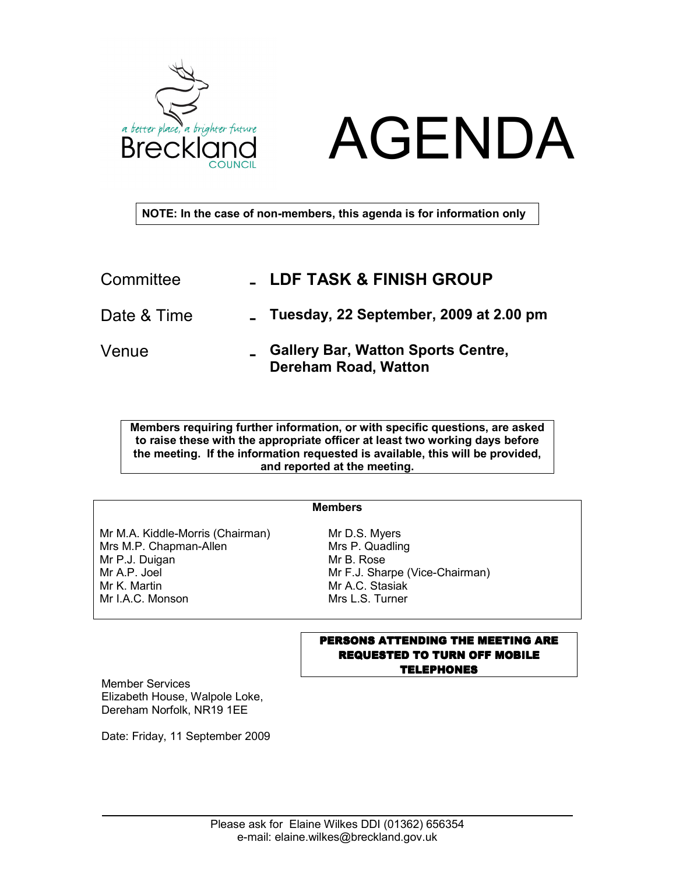



NOTE: In the case of non-members, this agenda is for information only

| Committee   | <b>LDF TASK &amp; FINISH GROUP</b>                                         |
|-------------|----------------------------------------------------------------------------|
| Date & Time | Tuesday, 22 September, 2009 at 2.00 pm                                     |
| Venue       | <b>_ Gallery Bar, Watton Sports Centre,</b><br><b>Dereham Road, Watton</b> |

Members requiring further information, or with specific questions, are asked to raise these with the appropriate officer at least two working days before the meeting. If the information requested is available, this will be provided, and reported at the meeting.

## Members

Mr M.A. Kiddle-Morris (Chairman) Mrs M.P. Chapman-Allen Mr P.J. Duigan Mr A.P. Joel Mr K. Martin Mr I.A.C. Monson

Mr D.S. Myers Mrs P. Quadling Mr B. Rose Mr F.J. Sharpe (Vice-Chairman) Mr A.C. Stasiak Mrs L.S. Turner

## PERSONS ATTENDING THE MEETING ARE REQUESTED TO TURN OFF MOBILE **TELEPHONES**

Member Services Elizabeth House, Walpole Loke, Dereham Norfolk, NR19 1EE

Date: Friday, 11 September 2009